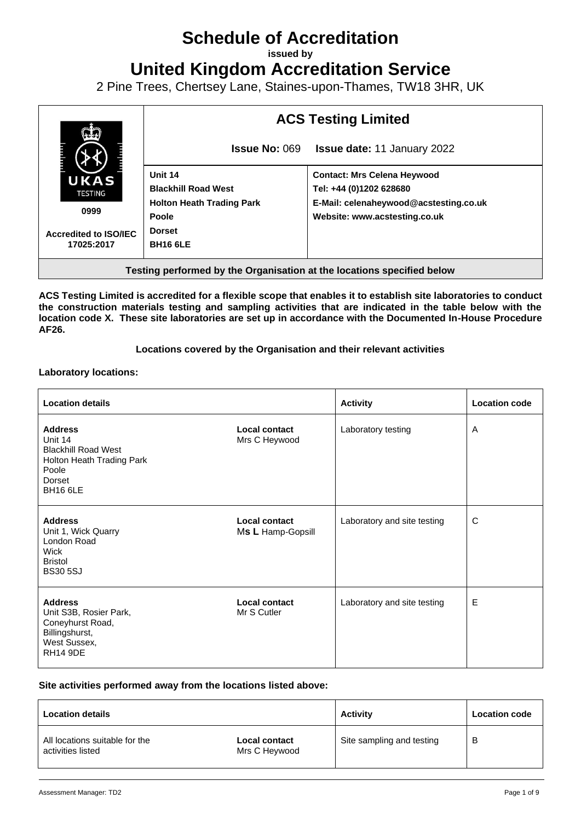## **Schedule of Accreditation**

**issued by**

**United Kingdom Accreditation Service**

2 Pine Trees, Chertsey Lane, Staines-upon-Thames, TW18 3HR, UK



**Testing performed by the Organisation at the locations specified below**

**ACS Testing Limited is accredited for a flexible scope that enables it to establish site laboratories to conduct the construction materials testing and sampling activities that are indicated in the table below with the location code X. These site laboratories are set up in accordance with the Documented In-House Procedure AF26.**

**Locations covered by the Organisation and their relevant activities**

**Laboratory locations:**

| <b>Location details</b>                                                                                             |                                           | <b>Activity</b>             | <b>Location code</b> |
|---------------------------------------------------------------------------------------------------------------------|-------------------------------------------|-----------------------------|----------------------|
| <b>Address</b><br>Unit 14<br><b>Blackhill Road West</b><br>Holton Heath Trading Park<br>Poole<br>Dorset<br>BH16 6LE | <b>Local contact</b><br>Mrs C Heywood     | Laboratory testing          | A                    |
| <b>Address</b><br>Unit 1, Wick Quarry<br>London Road<br>Wick<br><b>Bristol</b><br><b>BS30 5SJ</b>                   | <b>Local contact</b><br>Ms L Hamp-Gopsill | Laboratory and site testing | C                    |
| <b>Address</b><br>Unit S3B, Rosier Park,<br>Coneyhurst Road,<br>Billingshurst,<br>West Sussex,<br><b>RH14 9DE</b>   | <b>Local contact</b><br>Mr S Cutler       | Laboratory and site testing | E                    |

## **Site activities performed away from the locations listed above:**

| <b>Location details</b>                             |                                       | <b>Activity</b>           | <b>Location code</b> |
|-----------------------------------------------------|---------------------------------------|---------------------------|----------------------|
| All locations suitable for the<br>activities listed | <b>Local contact</b><br>Mrs C Heywood | Site sampling and testing | В                    |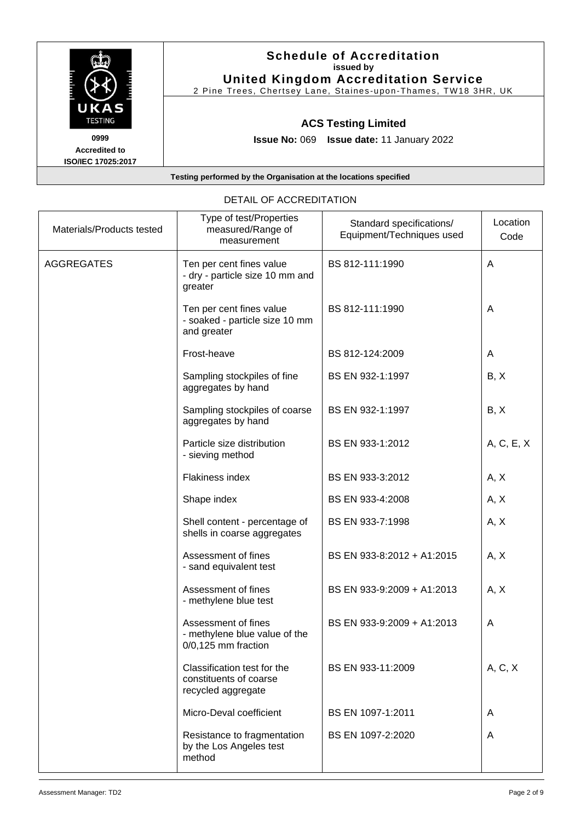|                                                           | <b>Schedule of Accreditation</b><br>issued by<br><b>United Kingdom Accreditation Service</b><br>2 Pine Trees, Chertsey Lane, Staines-upon-Thames, TW18 3HR, UK |
|-----------------------------------------------------------|----------------------------------------------------------------------------------------------------------------------------------------------------------------|
| UKAS<br><b>TESTING</b>                                    | <b>ACS Testing Limited</b>                                                                                                                                     |
| 0999<br><b>Accredited to</b><br><b>ISO/IEC 17025:2017</b> | <b>Issue No: 069 Issue date: 11 January 2022</b>                                                                                                               |
|                                                           | Testing performed by the Organisation at the locations specified                                                                                               |

| Materials/Products tested | Type of test/Properties<br>measured/Range of<br>measurement                   | Standard specifications/<br>Equipment/Techniques used | Location<br>Code |
|---------------------------|-------------------------------------------------------------------------------|-------------------------------------------------------|------------------|
| <b>AGGREGATES</b>         | Ten per cent fines value<br>- dry - particle size 10 mm and<br>greater        | BS 812-111:1990                                       | A                |
|                           | Ten per cent fines value<br>- soaked - particle size 10 mm<br>and greater     | BS 812-111:1990                                       | A                |
|                           | Frost-heave                                                                   | BS 812-124:2009                                       | A                |
|                           | Sampling stockpiles of fine<br>aggregates by hand                             | BS EN 932-1:1997                                      | B, X             |
|                           | Sampling stockpiles of coarse<br>aggregates by hand                           | BS EN 932-1:1997                                      | B, X             |
|                           | Particle size distribution<br>- sieving method                                | BS EN 933-1:2012                                      | A, C, E, X       |
|                           | Flakiness index                                                               | BS EN 933-3:2012                                      | A, X             |
|                           | Shape index                                                                   | BS EN 933-4:2008                                      | A, X             |
|                           | Shell content - percentage of<br>shells in coarse aggregates                  | BS EN 933-7:1998                                      | A, X             |
|                           | Assessment of fines<br>- sand equivalent test                                 | BS EN 933-8:2012 + A1:2015                            | A, X             |
|                           | Assessment of fines<br>- methylene blue test                                  | BS EN 933-9:2009 + A1:2013                            | A, X             |
|                           | Assessment of fines<br>- methylene blue value of the<br>$0/0,125$ mm fraction | BS EN 933-9:2009 + A1:2013                            | A                |
|                           | Classification test for the<br>constituents of coarse<br>recycled aggregate   | BS EN 933-11:2009                                     | A, C, X          |
|                           | Micro-Deval coefficient                                                       | BS EN 1097-1:2011                                     | A                |
|                           | Resistance to fragmentation<br>by the Los Angeles test<br>method              | BS EN 1097-2:2020                                     | A                |

## DETAIL OF ACCREDITATION Type of test/Properties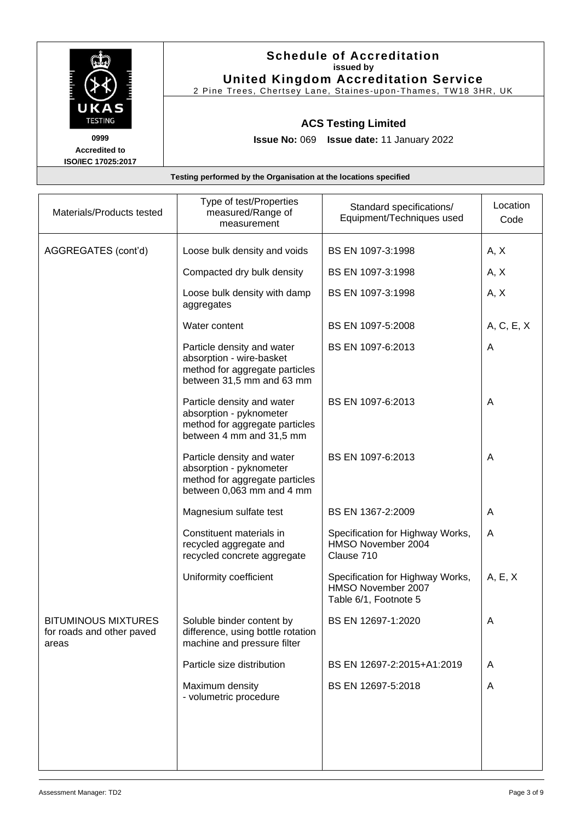|                                                           | <b>Schedule of Accreditation</b><br>issued by<br><b>United Kingdom Accreditation Service</b><br>2 Pine Trees, Chertsey Lane, Staines-upon-Thames, TW18 3HR, UK |
|-----------------------------------------------------------|----------------------------------------------------------------------------------------------------------------------------------------------------------------|
| UKAS<br><b>TESTING</b>                                    | <b>ACS Testing Limited</b>                                                                                                                                     |
| 0999<br><b>Accredited to</b><br><b>ISO/IEC 17025:2017</b> | <b>Issue No: 069 Issue date: 11 January 2022</b>                                                                                                               |
|                                                           | Testing performed by the Organisation at the locations specified                                                                                               |

| Materials/Products tested                                        | Type of test/Properties<br>measured/Range of<br>measurement                                                           | Standard specifications/<br>Equipment/Techniques used                           | Location<br>Code |
|------------------------------------------------------------------|-----------------------------------------------------------------------------------------------------------------------|---------------------------------------------------------------------------------|------------------|
| AGGREGATES (cont'd)                                              | Loose bulk density and voids                                                                                          | BS EN 1097-3:1998                                                               | A, X             |
|                                                                  | Compacted dry bulk density                                                                                            | BS EN 1097-3:1998                                                               | A, X             |
|                                                                  | Loose bulk density with damp<br>aggregates                                                                            | BS EN 1097-3:1998                                                               | A, X             |
|                                                                  | Water content                                                                                                         | BS EN 1097-5:2008                                                               | A, C, E, X       |
|                                                                  | Particle density and water<br>absorption - wire-basket<br>method for aggregate particles<br>between 31,5 mm and 63 mm | BS EN 1097-6:2013                                                               | A                |
|                                                                  | Particle density and water<br>absorption - pyknometer<br>method for aggregate particles<br>between 4 mm and 31,5 mm   | BS EN 1097-6:2013                                                               | A                |
|                                                                  | Particle density and water<br>absorption - pyknometer<br>method for aggregate particles<br>between 0,063 mm and 4 mm  | BS EN 1097-6:2013                                                               | A                |
|                                                                  | Magnesium sulfate test                                                                                                | BS EN 1367-2:2009                                                               | A                |
|                                                                  | Constituent materials in<br>recycled aggregate and<br>recycled concrete aggregate                                     | Specification for Highway Works,<br>HMSO November 2004<br>Clause 710            | A                |
|                                                                  | Uniformity coefficient                                                                                                | Specification for Highway Works,<br>HMSO November 2007<br>Table 6/1, Footnote 5 | A, E, X          |
| <b>BITUMINOUS MIXTURES</b><br>for roads and other paved<br>areas | Soluble binder content by<br>difference, using bottle rotation<br>machine and pressure filter                         | BS EN 12697-1:2020                                                              | Α                |
|                                                                  | Particle size distribution                                                                                            | BS EN 12697-2:2015+A1:2019                                                      | A                |
|                                                                  | Maximum density<br>- volumetric procedure                                                                             | BS EN 12697-5:2018                                                              | A                |
|                                                                  |                                                                                                                       |                                                                                 |                  |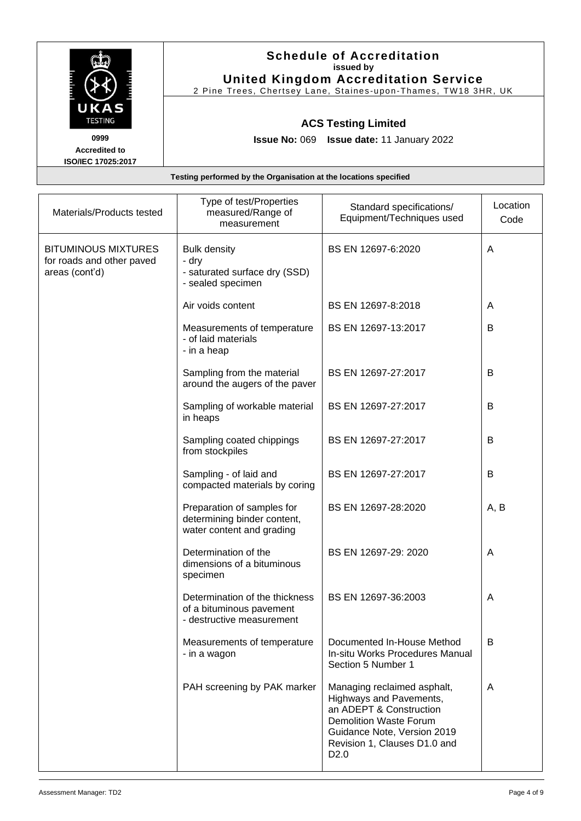|                                                           | <b>Schedule of Accreditation</b><br>issued by<br><b>United Kingdom Accreditation Service</b><br>2 Pine Trees, Chertsey Lane, Staines-upon-Thames, TW18 3HR, UK |
|-----------------------------------------------------------|----------------------------------------------------------------------------------------------------------------------------------------------------------------|
| UKAS<br><b>TESTING</b>                                    | <b>ACS Testing Limited</b>                                                                                                                                     |
| 0999<br><b>Accredited to</b><br><b>ISO/IEC 17025:2017</b> | <b>Issue No: 069 Issue date: 11 January 2022</b>                                                                                                               |
|                                                           | Testing performed by the Organisation at the locations specified                                                                                               |

| Materials/Products tested                                                 | Type of test/Properties<br>measured/Range of<br>measurement                             | Standard specifications/<br>Equipment/Techniques used                                                                                                                                                 | Location<br>Code |
|---------------------------------------------------------------------------|-----------------------------------------------------------------------------------------|-------------------------------------------------------------------------------------------------------------------------------------------------------------------------------------------------------|------------------|
| <b>BITUMINOUS MIXTURES</b><br>for roads and other paved<br>areas (cont'd) | <b>Bulk density</b><br>- dry<br>- saturated surface dry (SSD)<br>- sealed specimen      | BS EN 12697-6:2020                                                                                                                                                                                    | A                |
|                                                                           | Air voids content                                                                       | BS EN 12697-8:2018                                                                                                                                                                                    | A                |
|                                                                           | Measurements of temperature<br>- of laid materials<br>- in a heap                       | BS EN 12697-13:2017                                                                                                                                                                                   | B                |
|                                                                           | Sampling from the material<br>around the augers of the paver                            | BS EN 12697-27:2017                                                                                                                                                                                   | B                |
|                                                                           | Sampling of workable material<br>in heaps                                               | BS EN 12697-27:2017                                                                                                                                                                                   | B                |
|                                                                           | Sampling coated chippings<br>from stockpiles                                            | BS EN 12697-27:2017                                                                                                                                                                                   | B                |
|                                                                           | Sampling - of laid and<br>compacted materials by coring                                 | BS EN 12697-27:2017                                                                                                                                                                                   | B                |
|                                                                           | Preparation of samples for<br>determining binder content,<br>water content and grading  | BS EN 12697-28:2020                                                                                                                                                                                   | A, B             |
|                                                                           | Determination of the<br>dimensions of a bituminous<br>specimen                          | BS EN 12697-29: 2020                                                                                                                                                                                  | A                |
|                                                                           | Determination of the thickness<br>of a bituminous pavement<br>- destructive measurement | BS EN 12697-36:2003                                                                                                                                                                                   | A                |
|                                                                           | Measurements of temperature<br>- in a wagon                                             | Documented In-House Method<br>In-situ Works Procedures Manual<br>Section 5 Number 1                                                                                                                   | B                |
|                                                                           | PAH screening by PAK marker                                                             | Managing reclaimed asphalt,<br>Highways and Pavements,<br>an ADEPT & Construction<br><b>Demolition Waste Forum</b><br>Guidance Note, Version 2019<br>Revision 1, Clauses D1.0 and<br>D <sub>2.0</sub> | A                |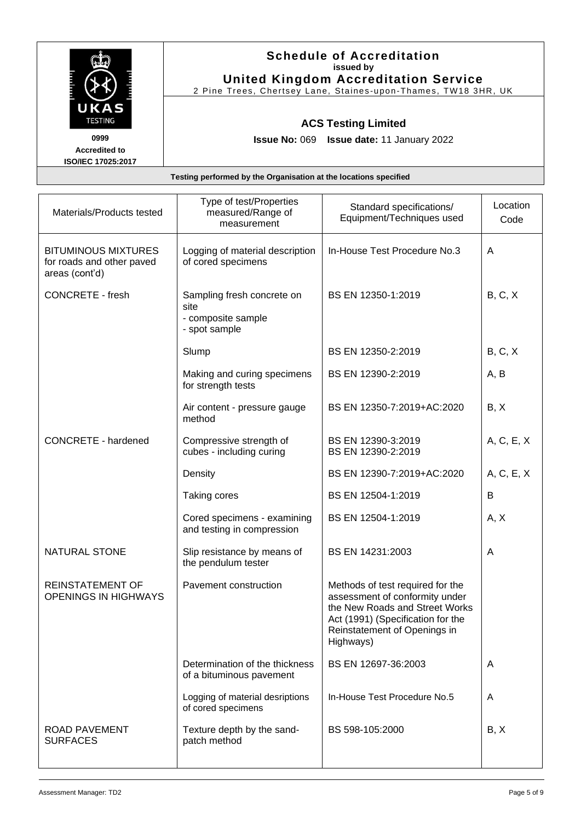|                                                    | <b>Schedule of Accreditation</b><br>issued by<br><b>United Kingdom Accreditation Service</b><br>2 Pine Trees, Chertsey Lane, Staines-upon-Thames, TW18 3HR, UK |
|----------------------------------------------------|----------------------------------------------------------------------------------------------------------------------------------------------------------------|
| UKAS<br><b>TESTING</b>                             | <b>ACS Testing Limited</b>                                                                                                                                     |
| 0999<br><b>Accredited to</b><br>ISO/IEC 17025:2017 | <b>Issue No: 069 Issue date: 11 January 2022</b>                                                                                                               |
|                                                    | Testing performed by the Organisation at the locations specified                                                                                               |

| Materials/Products tested                                                 | Type of test/Properties<br>measured/Range of<br>measurement               | Standard specifications/<br>Equipment/Techniques used                                                                                                                                  | Location<br>Code |
|---------------------------------------------------------------------------|---------------------------------------------------------------------------|----------------------------------------------------------------------------------------------------------------------------------------------------------------------------------------|------------------|
| <b>BITUMINOUS MIXTURES</b><br>for roads and other paved<br>areas (cont'd) | Logging of material description<br>of cored specimens                     | In-House Test Procedure No.3                                                                                                                                                           | A                |
| <b>CONCRETE - fresh</b>                                                   | Sampling fresh concrete on<br>site<br>- composite sample<br>- spot sample | BS EN 12350-1:2019                                                                                                                                                                     | B, C, X          |
|                                                                           | Slump                                                                     | BS EN 12350-2:2019                                                                                                                                                                     | B, C, X          |
|                                                                           | Making and curing specimens<br>for strength tests                         | BS EN 12390-2:2019                                                                                                                                                                     | A, B             |
|                                                                           | Air content - pressure gauge<br>method                                    | BS EN 12350-7:2019+AC:2020                                                                                                                                                             | B, X             |
| <b>CONCRETE - hardened</b>                                                | Compressive strength of<br>cubes - including curing                       | BS EN 12390-3:2019<br>BS EN 12390-2:2019                                                                                                                                               | A, C, E, X       |
|                                                                           | Density                                                                   | BS EN 12390-7:2019+AC:2020                                                                                                                                                             | A, C, E, X       |
|                                                                           | Taking cores                                                              | BS EN 12504-1:2019                                                                                                                                                                     | В                |
|                                                                           | Cored specimens - examining<br>and testing in compression                 | BS EN 12504-1:2019                                                                                                                                                                     | A, X             |
| <b>NATURAL STONE</b>                                                      | Slip resistance by means of<br>the pendulum tester                        | BS EN 14231:2003                                                                                                                                                                       | A                |
| <b>REINSTATEMENT OF</b><br><b>OPENINGS IN HIGHWAYS</b>                    | Pavement construction                                                     | Methods of test required for the<br>assessment of conformity under<br>the New Roads and Street Works<br>Act (1991) (Specification for the<br>Reinstatement of Openings in<br>Highways) |                  |
|                                                                           | Determination of the thickness<br>of a bituminous pavement                | BS EN 12697-36:2003                                                                                                                                                                    | A                |
|                                                                           | Logging of material desriptions<br>of cored specimens                     | In-House Test Procedure No.5                                                                                                                                                           | A                |
| <b>ROAD PAVEMENT</b><br><b>SURFACES</b>                                   | Texture depth by the sand-<br>patch method                                | BS 598-105:2000                                                                                                                                                                        | B, X             |
|                                                                           |                                                                           |                                                                                                                                                                                        |                  |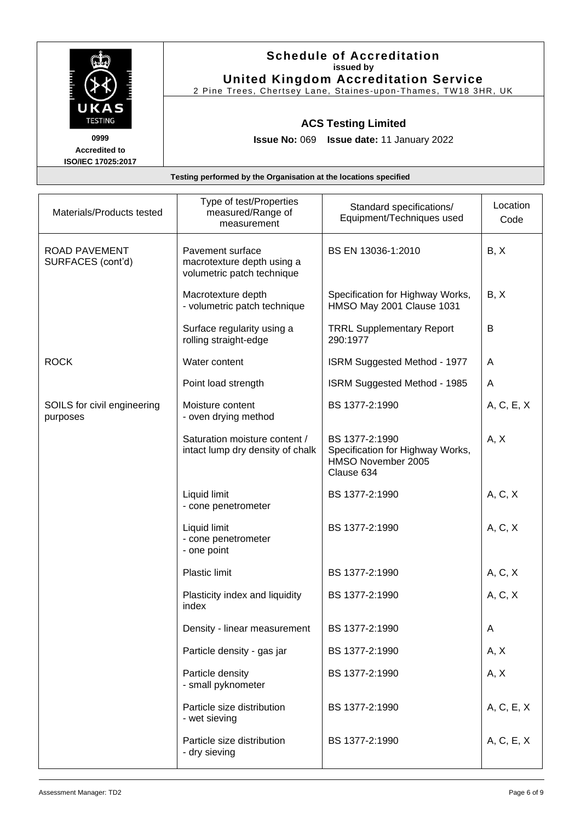|                              | <b>Schedule of Accreditation</b><br>issued by<br><b>United Kingdom Accreditation Service</b><br>2 Pine Trees, Chertsey Lane, Staines-upon-Thames, TW18 3HR, UK |  |
|------------------------------|----------------------------------------------------------------------------------------------------------------------------------------------------------------|--|
| UKAS<br><b>TESTING</b>       | <b>ACS Testing Limited</b>                                                                                                                                     |  |
| 0999<br><b>Accredited to</b> | <b>Issue No: 069 Issue date: 11 January 2022</b>                                                                                                               |  |
| <b>ISO/IEC 17025:2017</b>    | Testing performed by the Organisation at the locations specified                                                                                               |  |

| Materials/Products tested                 | Type of test/Properties<br>measured/Range of<br>measurement                  | Standard specifications/<br>Equipment/Techniques used                                  | Location<br>Code |
|-------------------------------------------|------------------------------------------------------------------------------|----------------------------------------------------------------------------------------|------------------|
| <b>ROAD PAVEMENT</b><br>SURFACES (cont'd) | Pavement surface<br>macrotexture depth using a<br>volumetric patch technique | BS EN 13036-1:2010                                                                     | B, X             |
|                                           | Macrotexture depth<br>- volumetric patch technique                           | Specification for Highway Works,<br>HMSO May 2001 Clause 1031                          | B, X             |
|                                           | Surface regularity using a<br>rolling straight-edge                          | <b>TRRL Supplementary Report</b><br>290:1977                                           | B                |
| <b>ROCK</b>                               | Water content                                                                | <b>ISRM Suggested Method - 1977</b>                                                    | A                |
|                                           | Point load strength                                                          | ISRM Suggested Method - 1985                                                           | A                |
| SOILS for civil engineering<br>purposes   | Moisture content<br>- oven drying method                                     | BS 1377-2:1990                                                                         | A, C, E, X       |
|                                           | Saturation moisture content /<br>intact lump dry density of chalk            | BS 1377-2:1990<br>Specification for Highway Works,<br>HMSO November 2005<br>Clause 634 | A, X             |
|                                           | Liquid limit<br>- cone penetrometer                                          | BS 1377-2:1990                                                                         | A, C, X          |
|                                           | Liquid limit<br>- cone penetrometer<br>- one point                           | BS 1377-2:1990                                                                         | A, C, X          |
|                                           | <b>Plastic limit</b>                                                         | BS 1377-2:1990                                                                         | A, C, X          |
|                                           | Plasticity index and liquidity<br>index                                      | BS 1377-2:1990                                                                         | A, C, X          |
|                                           | Density - linear measurement                                                 | BS 1377-2:1990                                                                         | A                |
|                                           | Particle density - gas jar                                                   | BS 1377-2:1990                                                                         | A, X             |
|                                           | Particle density<br>- small pyknometer                                       | BS 1377-2:1990                                                                         | A, X             |
|                                           | Particle size distribution<br>- wet sieving                                  | BS 1377-2:1990                                                                         | A, C, E, X       |
|                                           | Particle size distribution<br>- dry sieving                                  | BS 1377-2:1990                                                                         | A, C, E, X       |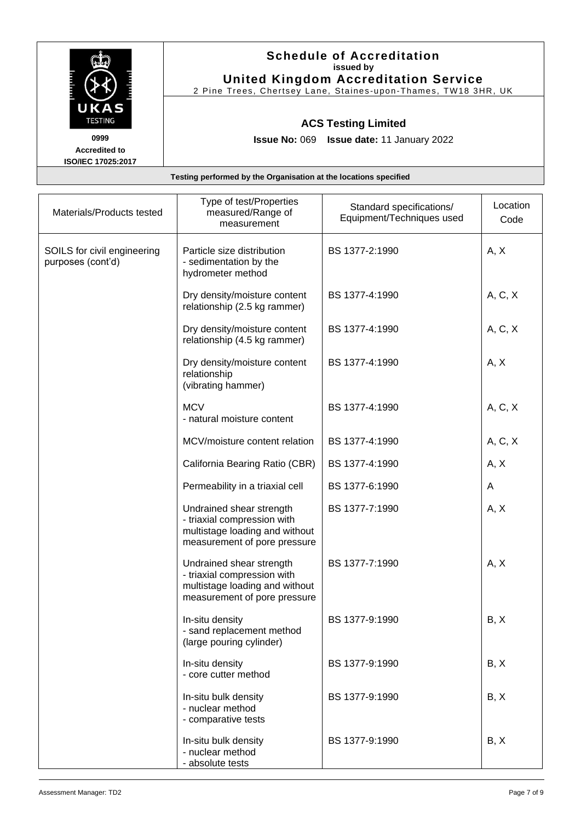|                                                           | <b>Schedule of Accreditation</b><br>issued by<br><b>United Kingdom Accreditation Service</b><br>2 Pine Trees, Chertsey Lane, Staines-upon-Thames, TW18 3HR, UK |
|-----------------------------------------------------------|----------------------------------------------------------------------------------------------------------------------------------------------------------------|
| UKAS<br><b>TESTING</b>                                    | <b>ACS Testing Limited</b>                                                                                                                                     |
| 0999<br><b>Accredited to</b><br><b>ISO/IEC 17025:2017</b> | <b>Issue No: 069 Issue date: 11 January 2022</b>                                                                                                               |
|                                                           | Testing performed by the Organisation at the locations specified                                                                                               |

| Materials/Products tested                        | Type of test/Properties<br>measured/Range of<br>measurement                                                               | Standard specifications/<br>Equipment/Techniques used | Location<br>Code |
|--------------------------------------------------|---------------------------------------------------------------------------------------------------------------------------|-------------------------------------------------------|------------------|
| SOILS for civil engineering<br>purposes (cont'd) | Particle size distribution<br>- sedimentation by the<br>hydrometer method                                                 | BS 1377-2:1990                                        | A, X             |
|                                                  | Dry density/moisture content<br>relationship (2.5 kg rammer)                                                              | BS 1377-4:1990                                        | A, C, X          |
|                                                  | Dry density/moisture content<br>relationship (4.5 kg rammer)                                                              | BS 1377-4:1990                                        | A, C, X          |
|                                                  | Dry density/moisture content<br>relationship<br>(vibrating hammer)                                                        | BS 1377-4:1990                                        | A, X             |
|                                                  | <b>MCV</b><br>- natural moisture content                                                                                  | BS 1377-4:1990                                        | A, C, X          |
|                                                  | MCV/moisture content relation                                                                                             | BS 1377-4:1990                                        | A, C, X          |
|                                                  | California Bearing Ratio (CBR)                                                                                            | BS 1377-4:1990                                        | A, X             |
|                                                  | Permeability in a triaxial cell                                                                                           | BS 1377-6:1990                                        | A                |
|                                                  | Undrained shear strength<br>- triaxial compression with<br>multistage loading and without<br>measurement of pore pressure | BS 1377-7:1990                                        | A, X             |
|                                                  | Undrained shear strength<br>- triaxial compression with<br>multistage loading and without<br>measurement of pore pressure | BS 1377-7:1990                                        | A, X             |
|                                                  | In-situ density<br>- sand replacement method<br>(large pouring cylinder)                                                  | BS 1377-9:1990                                        | B, X             |
|                                                  | In-situ density<br>- core cutter method                                                                                   | BS 1377-9:1990                                        | B, X             |
|                                                  | In-situ bulk density<br>- nuclear method<br>- comparative tests                                                           | BS 1377-9:1990                                        | B, X             |
|                                                  | In-situ bulk density<br>- nuclear method<br>- absolute tests                                                              | BS 1377-9:1990                                        | B, X             |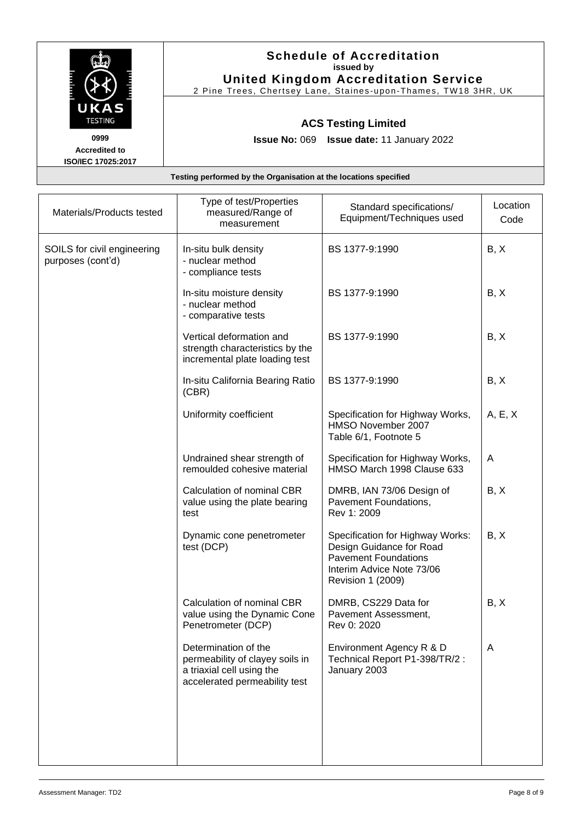| UKAS<br><b>TESTING</b>                                    | <b>Schedule of Accreditation</b><br>issued by<br><b>United Kingdom Accreditation Service</b><br>2 Pine Trees, Chertsey Lane, Staines-upon-Thames, TW18 3HR, UK |
|-----------------------------------------------------------|----------------------------------------------------------------------------------------------------------------------------------------------------------------|
|                                                           | <b>ACS Testing Limited</b>                                                                                                                                     |
| 0999<br><b>Accredited to</b><br><b>ISO/IEC 17025:2017</b> | <b>Issue No: 069 Issue date: 11 January 2022</b>                                                                                                               |

| Materials/Products tested                        | Type of test/Properties<br>measured/Range of<br>measurement                                                           | Standard specifications/<br>Equipment/Techniques used                                                                                         | Location<br>Code |
|--------------------------------------------------|-----------------------------------------------------------------------------------------------------------------------|-----------------------------------------------------------------------------------------------------------------------------------------------|------------------|
| SOILS for civil engineering<br>purposes (cont'd) | In-situ bulk density<br>- nuclear method<br>- compliance tests                                                        | BS 1377-9:1990                                                                                                                                | B, X             |
|                                                  | In-situ moisture density<br>- nuclear method<br>- comparative tests                                                   | BS 1377-9:1990                                                                                                                                | B, X             |
|                                                  | Vertical deformation and<br>strength characteristics by the<br>incremental plate loading test                         | BS 1377-9:1990                                                                                                                                | B, X             |
|                                                  | In-situ California Bearing Ratio<br>(CBR)                                                                             | BS 1377-9:1990                                                                                                                                | B, X             |
|                                                  | Uniformity coefficient                                                                                                | Specification for Highway Works,<br>HMSO November 2007<br>Table 6/1, Footnote 5                                                               | A, E, X          |
|                                                  | Undrained shear strength of<br>remoulded cohesive material                                                            | Specification for Highway Works,<br>HMSO March 1998 Clause 633                                                                                | A                |
|                                                  | Calculation of nominal CBR<br>value using the plate bearing<br>test                                                   | DMRB, IAN 73/06 Design of<br>Pavement Foundations,<br>Rev 1: 2009                                                                             | B, X             |
|                                                  | Dynamic cone penetrometer<br>test (DCP)                                                                               | Specification for Highway Works:<br>Design Guidance for Road<br><b>Pavement Foundations</b><br>Interim Advice Note 73/06<br>Revision 1 (2009) | B, X             |
|                                                  | Calculation of nominal CBR<br>value using the Dynamic Cone<br>Penetrometer (DCP)                                      | DMRB, CS229 Data for<br>Pavement Assessment,<br>Rev 0: 2020                                                                                   | B, X             |
|                                                  | Determination of the<br>permeability of clayey soils in<br>a triaxial cell using the<br>accelerated permeability test | Environment Agency R & D<br>Technical Report P1-398/TR/2 :<br>January 2003                                                                    | A                |
|                                                  |                                                                                                                       |                                                                                                                                               |                  |
|                                                  |                                                                                                                       |                                                                                                                                               |                  |